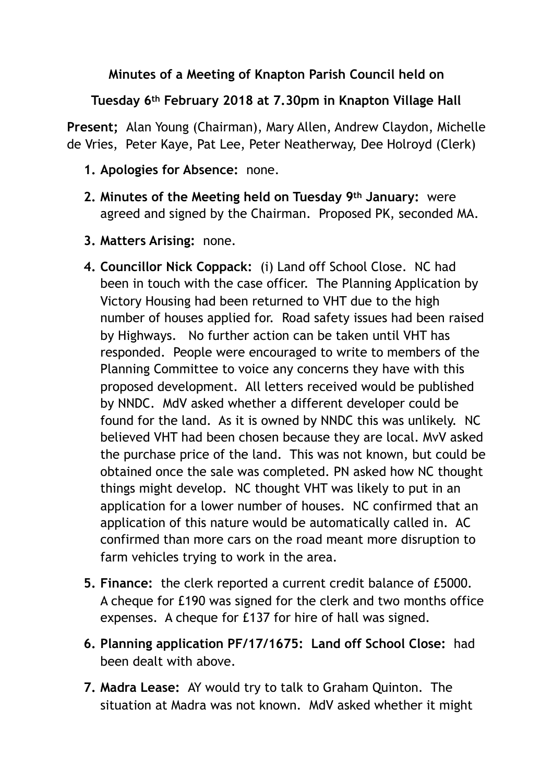## **Minutes of a Meeting of Knapton Parish Council held on**

## **Tuesday 6th February 2018 at 7.30pm in Knapton Village Hall**

**Present;** Alan Young (Chairman), Mary Allen, Andrew Claydon, Michelle de Vries, Peter Kaye, Pat Lee, Peter Neatherway, Dee Holroyd (Clerk)

- **1. Apologies for Absence:** none.
- **2. Minutes of the Meeting held on Tuesday 9th January:** were agreed and signed by the Chairman. Proposed PK, seconded MA.
- **3. Matters Arising:** none.
- **4. Councillor Nick Coppack:** (i) Land off School Close. NC had been in touch with the case officer. The Planning Application by Victory Housing had been returned to VHT due to the high number of houses applied for. Road safety issues had been raised by Highways. No further action can be taken until VHT has responded. People were encouraged to write to members of the Planning Committee to voice any concerns they have with this proposed development. All letters received would be published by NNDC. MdV asked whether a different developer could be found for the land. As it is owned by NNDC this was unlikely. NC believed VHT had been chosen because they are local. MvV asked the purchase price of the land. This was not known, but could be obtained once the sale was completed. PN asked how NC thought things might develop. NC thought VHT was likely to put in an application for a lower number of houses. NC confirmed that an application of this nature would be automatically called in. AC confirmed than more cars on the road meant more disruption to farm vehicles trying to work in the area.
- **5. Finance:** the clerk reported a current credit balance of £5000. A cheque for £190 was signed for the clerk and two months office expenses. A cheque for £137 for hire of hall was signed.
- **6. Planning application PF/17/1675: Land off School Close:** had been dealt with above.
- **7. Madra Lease:** AY would try to talk to Graham Quinton. The situation at Madra was not known. MdV asked whether it might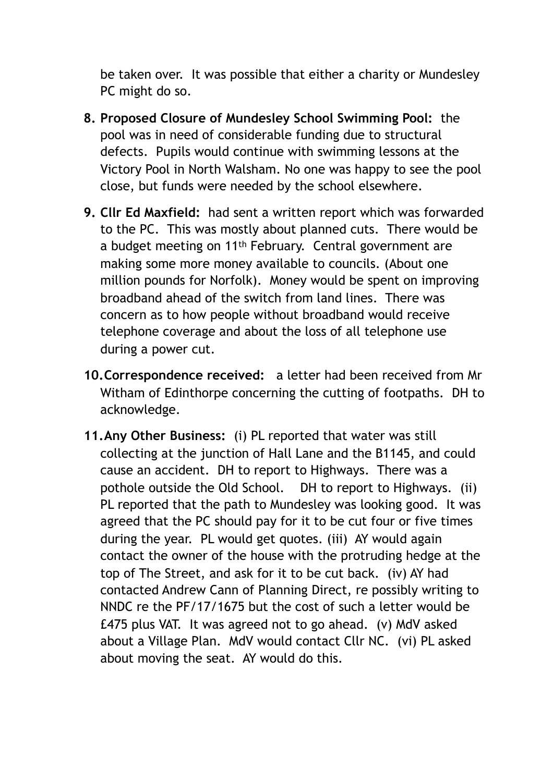be taken over. It was possible that either a charity or Mundesley PC might do so.

- **8. Proposed Closure of Mundesley School Swimming Pool:** the pool was in need of considerable funding due to structural defects. Pupils would continue with swimming lessons at the Victory Pool in North Walsham. No one was happy to see the pool close, but funds were needed by the school elsewhere.
- **9. Cllr Ed Maxfield:** had sent a written report which was forwarded to the PC. This was mostly about planned cuts. There would be a budget meeting on 11th February. Central government are making some more money available to councils. (About one million pounds for Norfolk). Money would be spent on improving broadband ahead of the switch from land lines. There was concern as to how people without broadband would receive telephone coverage and about the loss of all telephone use during a power cut.
- **10.Correspondence received:** a letter had been received from Mr Witham of Edinthorpe concerning the cutting of footpaths. DH to acknowledge.
- **11.Any Other Business:** (i) PL reported that water was still collecting at the junction of Hall Lane and the B1145, and could cause an accident. DH to report to Highways. There was a pothole outside the Old School. DH to report to Highways. (ii) PL reported that the path to Mundesley was looking good. It was agreed that the PC should pay for it to be cut four or five times during the year. PL would get quotes. (iii) AY would again contact the owner of the house with the protruding hedge at the top of The Street, and ask for it to be cut back. (iv) AY had contacted Andrew Cann of Planning Direct, re possibly writing to NNDC re the PF/17/1675 but the cost of such a letter would be £475 plus VAT. It was agreed not to go ahead. (v) MdV asked about a Village Plan. MdV would contact Cllr NC. (vi) PL asked about moving the seat. AY would do this.